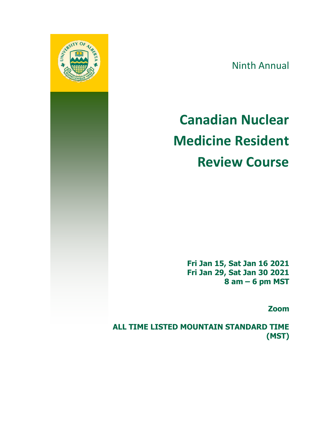

Ninth Annual

# **Canadian Nuclear Medicine Resident Review Course**

**Fri Jan 15, Sat Jan 16 2021 Fri Jan 29, Sat Jan 30 2021 8 am – 6 pm MST**

**Zoom**

**ALL TIME LISTED MOUNTAIN STANDARD TIME (MST)**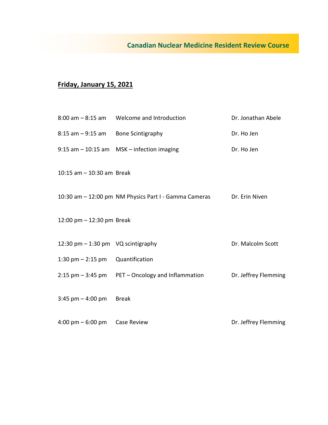#### **Canadian Nuclear Medicine Resident Review Course**

### **Friday, January 15, 2021**

|                                      | 8:00 am - 8:15 am Welcome and Introduction                           | Dr. Jonathan Abele   |
|--------------------------------------|----------------------------------------------------------------------|----------------------|
| 8:15 am - 9:15 am Bone Scintigraphy  |                                                                      | Dr. Ho Jen           |
|                                      | $9:15$ am $-10:15$ am MSK - infection imaging                        | Dr. Ho Jen           |
| 10:15 $am - 10:30$ am Break          |                                                                      |                      |
|                                      | 10:30 am - 12:00 pm NM Physics Part I - Gamma Cameras Dr. Erin Niven |                      |
| 12:00 pm $-$ 12:30 pm Break          |                                                                      |                      |
| 12:30 pm $-$ 1:30 pm VQ scintigraphy |                                                                      | Dr. Malcolm Scott    |
| $1:30 \text{ pm} - 2:15 \text{ pm}$  | Quantification                                                       |                      |
|                                      | $2:15$ pm $-3:45$ pm PET – Oncology and Inflammation                 | Dr. Jeffrey Flemming |
| $3:45$ pm $-4:00$ pm                 | Break                                                                |                      |
| $4:00 \text{ pm} - 6:00 \text{ pm}$  | <b>Case Review</b>                                                   | Dr. Jeffrey Flemming |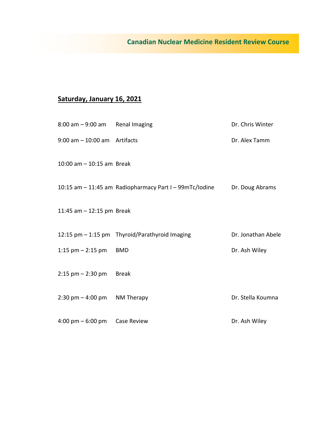## **Canadian Nuclear Medicine Resident Review Course**

### **Saturday, January 16, 2021**

| $8:00$ am $-9:00$ am Renal Imaging             |                                                         | Dr. Chris Winter   |
|------------------------------------------------|---------------------------------------------------------|--------------------|
| $9:00$ am $-10:00$ am Artifacts                |                                                         | Dr. Alex Tamm      |
| 10:00 am $-$ 10:15 am Break                    |                                                         |                    |
|                                                | 10:15 am - 11:45 am Radiopharmacy Part I - 99mTc/lodine | Dr. Doug Abrams    |
| 11:45 am $-$ 12:15 pm Break                    |                                                         |                    |
|                                                | 12:15 pm - 1:15 pm Thyroid/Parathyroid Imaging          | Dr. Jonathan Abele |
| 1:15 $pm - 2:15$ pm                            | BMD                                                     | Dr. Ash Wiley      |
| $2:15$ pm $- 2:30$ pm                          | Break                                                   |                    |
| $2:30 \text{ pm} - 4:00 \text{ pm}$ NM Therapy |                                                         | Dr. Stella Koumna  |
| $4:00 \text{ pm} - 6:00 \text{ pm}$            | Case Review                                             | Dr. Ash Wiley      |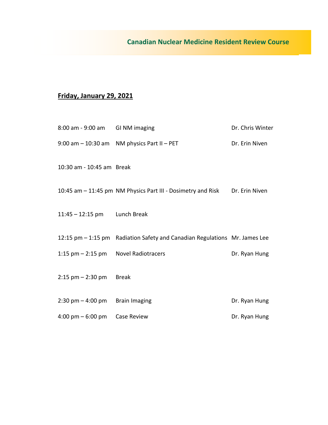### **Friday, January 29, 2021**

| 8:00 am - 9:00 am GI NM imaging      |                                                                            | Dr. Chris Winter |
|--------------------------------------|----------------------------------------------------------------------------|------------------|
|                                      | 9:00 am $-$ 10:30 am NM physics Part II $-$ PET                            | Dr. Erin Niven   |
| 10:30 am - 10:45 am Break            |                                                                            |                  |
|                                      | 10:45 am – 11:45 pm NM Physics Part III - Dosimetry and Risk               | Dr. Erin Niven   |
| 11:45 - 12:15 pm Lunch Break         |                                                                            |                  |
|                                      | 12:15 pm - 1:15 pm Radiation Safety and Canadian Regulations Mr. James Lee |                  |
| 1:15 pm - 2:15 pm Novel Radiotracers |                                                                            | Dr. Ryan Hung    |
| $2:15$ pm $- 2:30$ pm Break          |                                                                            |                  |
| $2:30 \text{ pm} - 4:00 \text{ pm}$  | <b>Brain Imaging</b>                                                       | Dr. Ryan Hung    |
| 4:00 pm $-6:00$ pm                   | <b>Case Review</b>                                                         | Dr. Ryan Hung    |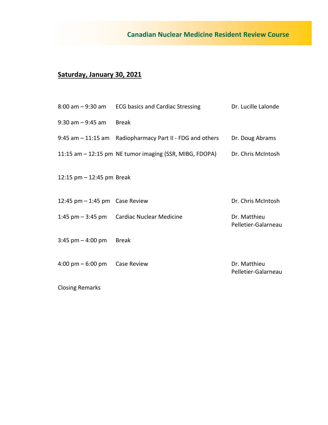### **Saturday, January 30, 2021**

|                                                 | 8:00 am – 9:30 am ECG basics and Cardiac Stressing        | Dr. Lucille Lalonde                 |
|-------------------------------------------------|-----------------------------------------------------------|-------------------------------------|
| $9:30$ am $-9:45$ am                            | <b>Break</b>                                              |                                     |
|                                                 | 9:45 am – 11:15 am Radiopharmacy Part II - FDG and others | Dr. Doug Abrams                     |
|                                                 | 11:15 am – 12:15 pm NE tumor imaging (SSR, MIBG, FDOPA)   | Dr. Chris McIntosh                  |
| 12:15 pm $-$ 12:45 pm Break                     |                                                           |                                     |
| 12:45 pm $-$ 1:45 pm Case Review                |                                                           | Dr. Chris McIntosh                  |
|                                                 | 1:45 pm - 3:45 pm Cardiac Nuclear Medicine                | Dr. Matthieu<br>Pelletier-Galarneau |
| $3:45$ pm $-4:00$ pm                            | Break                                                     |                                     |
| $4:00 \text{ pm} - 6:00 \text{ pm}$ Case Review |                                                           | Dr. Matthieu<br>Pelletier-Galarneau |
|                                                 |                                                           |                                     |

Closing Remarks